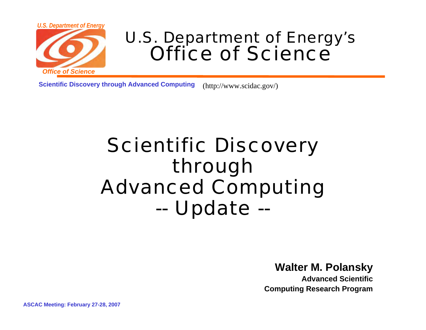

### U.S. Department of Energy's Office of Science

**Scientific Discovery through Advanced Computing** (http://www.scidac.gov/)

### Scientific Discovery through Advanced Computing --Update --

**Walter M. Polansky**

**Advanced ScientificComputing Research Program**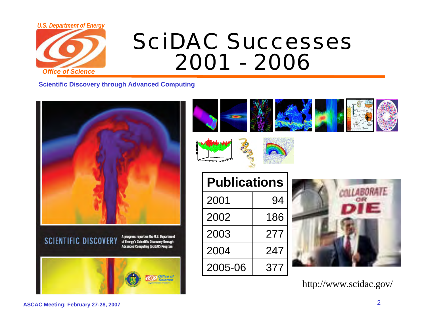

# SciDAC Successes2001 - 2006

**Scientific Discovery through Advanced Computing**











http://www.scidac.gov/

#### **ASCAC Meeting: February 27-28, 2007** <sup>2</sup>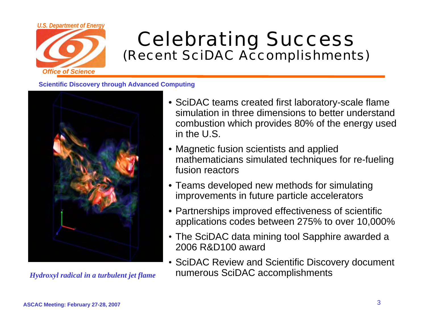

# Celebrating Success (Recent SciDAC Accomplishments)



- SciDAC teams created first laboratory-scale flame simulation in three dimensions to better understand combustion which provides 80% of the energy used in the U.S.
- Magnetic fusion scientists and applied mathematicians simulated techniques for re-fueling fusion reactors
- Teams developed new methods for simulating improvements in future particle accelerators
- Partnerships improved effectiveness of scientific applications codes between 275% to over 10,000%
- The SciDAC data mining tool Sapphire awarded a 2006 R&D100 award
- SciDAC Review and Scientific Discovery document *Hydroxyl radical in a turbulent jet flame* numerous SciDAC accomplishments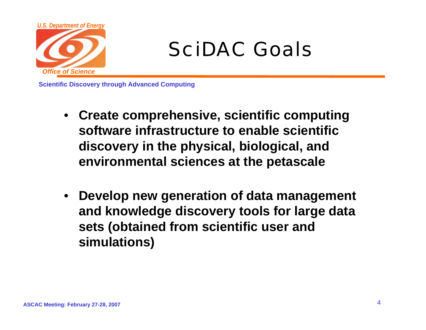

# SciDAC Goals

- **Create comprehensive, scientific computing software infrastructure to enable scientific discovery in the physical, biological, and environmental sciences at the petascale**
- $\bullet$  **Develop new generation of data management and knowledge discovery tools for large data sets (obtained from scientific user and simulations)**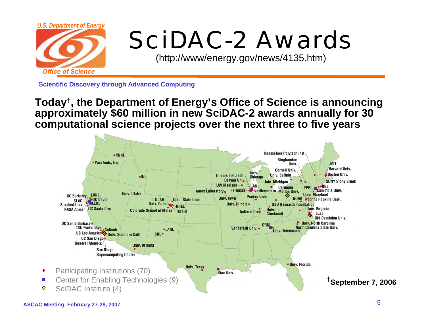

# SciDAC-2 Awards

(http://www/energy.gov/news/4135.htm)

**Scientific Discovery through Advanced Computing**

**Today†, the Department of Energy's Office of Science is announcing approximately \$60 million in new SciDAC-2 awards annually for 30 computational science projects over the next three to five years**



 $\bullet$ 

 $\mathbb{R}^2$ ♦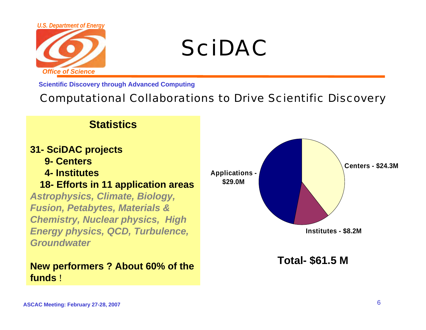

# SciDAC

**Scientific Discovery through Advanced Computing**

#### Computational Collaborations to Drive Scientific Discovery

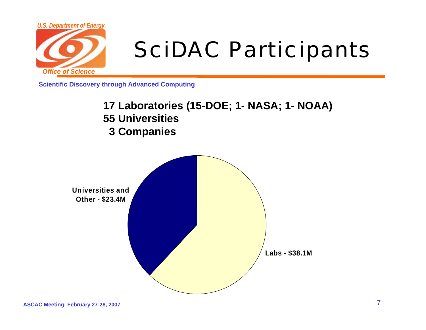

# SciDAC Participants

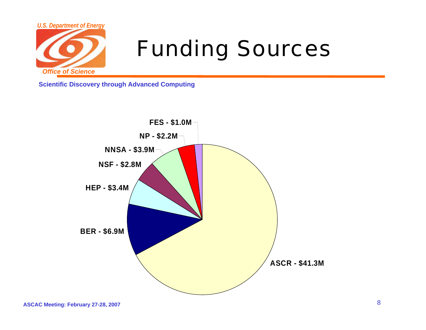

# Funding Sources

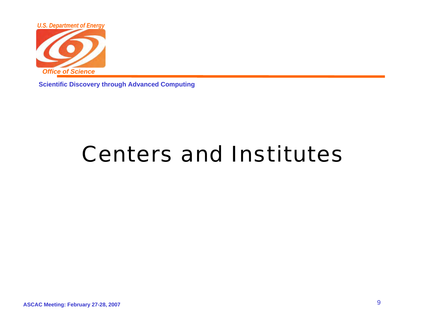

**Scientific Discovery through Advanced Computing**

# Centers and Institutes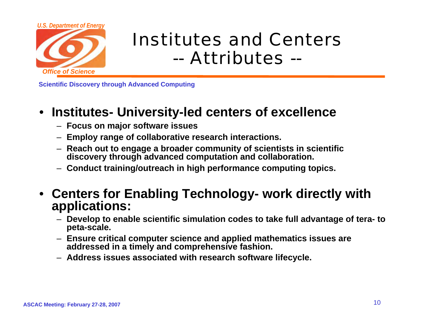

## Institutes and Centers-- Attributes --

**Scientific Discovery through Advanced Computing**

#### • **Institutes- University-led centers of excellence**

- **Focus on major software issues**
- **Employ range of collaborative research interactions.**
- **Reach out to engage a broader community of scientists in scientific discovery through advanced computation and collaboration.**
- **Conduct training/outreach in high performance computing topics.**
- **Centers for Enabling Technology- work directly with applications:** 
	- **Develop to enable scientific simulation codes to take full advantage of tera- to peta-scale.**
	- **Ensure critical computer science and applied mathematics issues are addressed in a timely and comprehensive fashion.**
	- **Address issues associated with research software lifecycle.**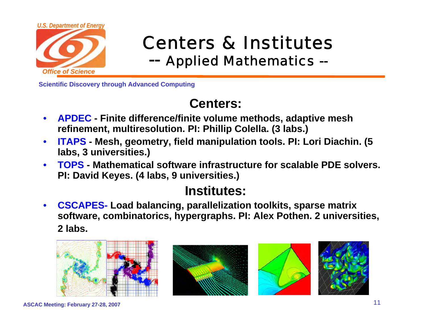

#### Centers & Institutes --Applied Mathematics --

**Scientific Discovery through Advanced Computing**

### **Centers:**

- $\bullet$  **APDEC - Finite difference/finite volume methods, adaptive mesh refinement, multiresolution. PI: Phillip Colella. (3 labs.)**
- $\bullet$  **ITAPS - Mesh, geometry, field manipulation tools. PI: Lori Diachin. (5 labs, 3 universities.)**
- $\bullet$  **TOPS - Mathematical software infrastructure for scalable PDE solvers. PI: David Keyes. (4 labs, 9 universities.)**

### **Institutes:**

 $\bullet$  **CSCAPES- Load balancing, parallelization toolkits, sparse matrix software, combinatorics, hypergraphs. PI: Alex Pothen. 2 universities, 2 labs.**

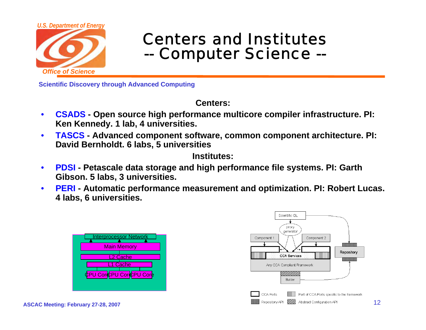

#### Centers and Institutes--Computer Science --

**Scientific Discovery through Advanced Computing**

**Centers:**

- $\bullet$  **CSADS - Open source high performance multicore compiler infrastructure. PI: Ken Kennedy. 1 lab, 4 universities.**
- $\bullet$  **TASCS - Advanced component software, common component architecture. PI: David Bernholdt. 6 labs, 5 universities**

**Institutes:**

- $\bullet$  **PDSI - Petascale data storage and high performance file systems. PI: Garth Gibson. 5 labs, 3 universities.**
- $\bullet$  **PERI - Automatic performance measurement and optimization. PI: Robert Lucas. 4 labs, 6 universities.**



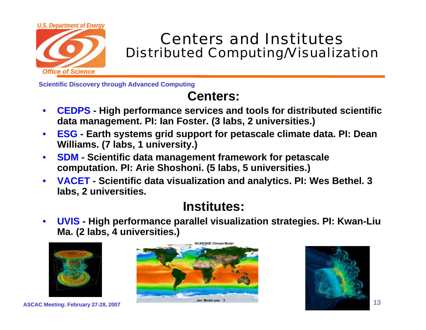

### Centers and InstitutesDistributed Computing/Visualization

**Scientific Discovery through Advanced Computing**

### **Centers:**

- $\bullet$  **CEDPS - High performance services and tools for distributed scientific data management. PI: Ian Foster. (3 labs, 2 universities.)**
- $\bullet$  **ESG - Earth systems grid support for petascale climate data. PI: Dean Williams. (7 labs, 1 university.)**
- $\bullet$  **SDM - Scientific data management framework for petascale computation. PI: Arie Shoshoni. (5 labs, 5 universities.)**
- $\bullet$  **VACET - Scientific data visualization and analytics. PI: Wes Bethel. 3 labs, 2 universities.**

### **Institutes:**

 $\bullet$  **UVIS - High performance parallel visualization strategies. PI: Kwan-Liu Ma. (2 labs, 4 universities.)**



**NCAR/DOF Climate Mode ASCAC Meeting: February 27-28, 2007** 13

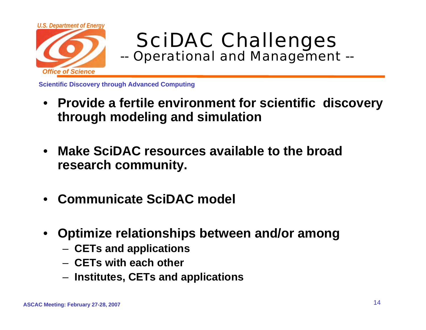

#### SciDAC Challenges --Operational and Management --

- **Provide a fertile environment for scientific discovery through modeling and simulation**
- $\bullet$  **Make SciDAC resources available to the broad research community.**
- •**Communicate SciDAC model**
- • **Optimize relationships between and/or among**
	- **CETs and applications**
	- **CETs with each other**
	- **Institutes, CETs and applications**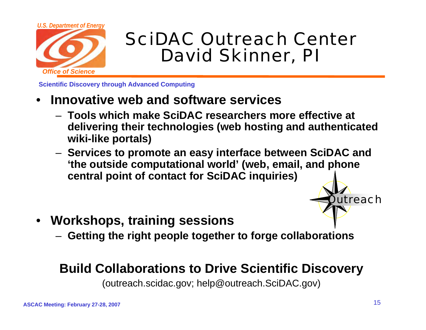

### SciDAC Outreach CenterDavid Skinner, PI

**Scientific Discovery through Advanced Computing**

- • **Innovative web and software services**
	- **Tools which make SciDAC researchers more effective at delivering their technologies (web hosting and authenticated wiki-like portals)**
	- **Services to promote an easy interface between SciDAC and 'the outside computational world' (web, email, and phone central point of contact for SciDAC inquiries)** 
		- treach
- $\bullet$  **Workshops, training sessions**
	- **Getting the right people together to forge collaborations**

#### **Build Collaborations to Drive Scientific Discovery**

(outreach.scidac.gov; help@outreach.SciDAC.gov)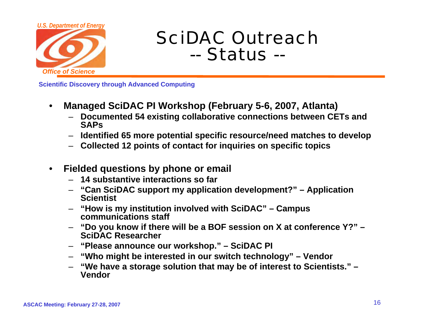

### SciDAC Outreach-- Status --

- • **Managed SciDAC PI Workshop (February 5-6, 2007, Atlanta)**
	- **Documented 54 existing collaborative connections between CETs and SAPs**
	- **Identified 65 more potential specific resource/need matches to develop**
	- **Collected 12 points of contact for inquiries on specific topics**
- • **Fielded questions by phone or email** 
	- **14 substantive interactions so far**
	- **"Can SciDAC support my application development?" – Application Scientist**
	- – **"How is my institution involved with SciDAC" – Campus communications staff**
	- **"Do you know if there will be a BOF session on X at conference Y?" – SciDAC Researcher**
	- **"Please announce our workshop." – SciDAC PI**
	- **"Who might be interested in our switch technology" – Vendor**
	- **"We have a storage solution that may be of interest to Scientists." – Vendor**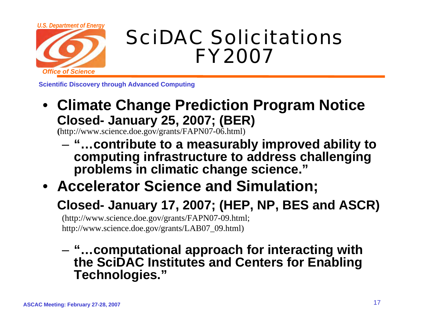

# SciDAC Solicitations FY2007

**Scientific Discovery through Advanced Computing**

• **Climate Change Prediction Program Notice Closed- January 25, 2007; (BER)**

**(**http://www.science.doe.gov/grants/FAPN07-06.html)

- **"…contribute to a measurably improved ability to computing infrastructure to address challenging problems in climatic change science."**
- **Accelerator Science and Simulation;**
	- **Closed- January 17, 2007; (HEP, NP, BES and ASCR)**

(http://www.science.doe.gov/grants/FAPN07-09.html; http://www.science.doe.gov/grants/LAB07\_09.html)

– **"…computational approach for interacting with the SciDAC Institutes and Centers for Enabling Technologies."**